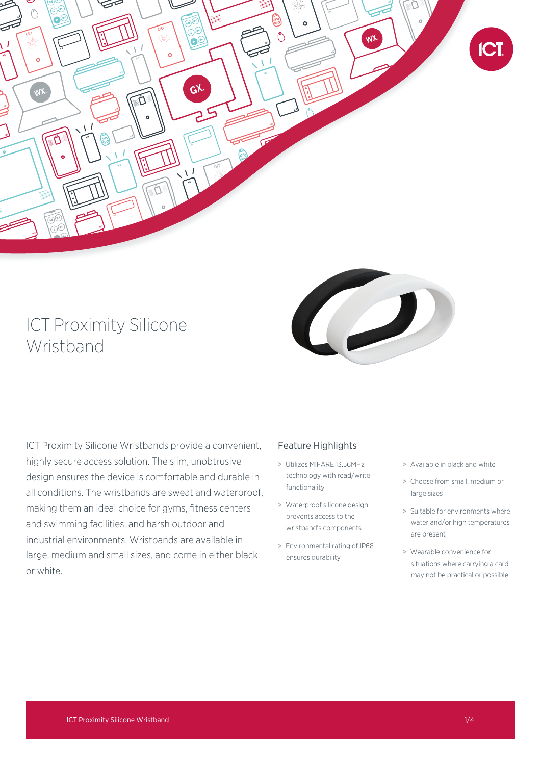

# ICT Proximity Silicone Wristband



ICT Proximity Silicone Wristbands provide a convenient, highly secure access solution. The slim, unobtrusive design ensures the device is comfortable and durable in all conditions. The wristbands are sweat and waterproof, making them an ideal choice for gyms, fitness centers and swimming facilities, and harsh outdoor and industrial environments. Wristbands are available in large, medium and small sizes, and come in either black or white.

# Feature Highlights

- > Utilizes MIFARE 13.56MHz technology with read/write functionality
- > Waterproof silicone design prevents access to the wristband's components
- > Environmental rating of IP68 ensures durability
- > Available in black and white
- > Choose from small, medium or large sizes
- > Suitable for environments where water and/or high temperatures are present
- > Wearable convenience for situations where carrying a card may not be practical or possible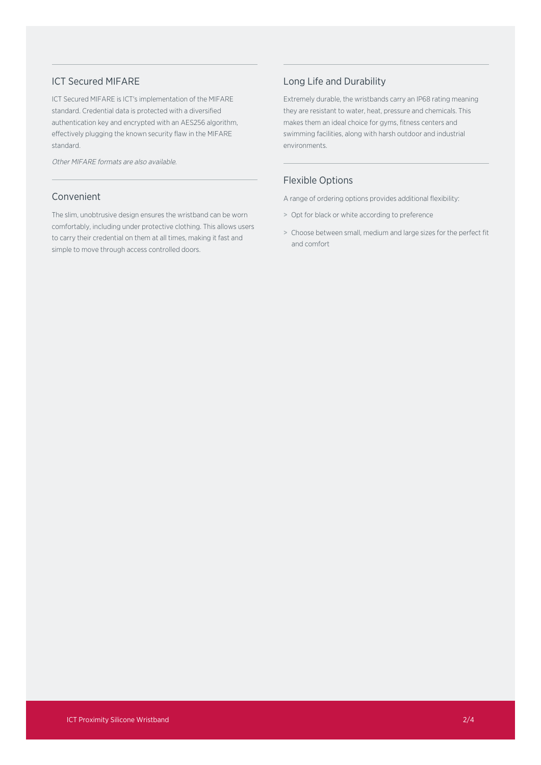#### ICT Secured MIFARE

ICT Secured MIFARE is ICT's implementation of the MIFARE standard. Credential data is protected with a diversified authentication key and encrypted with an AES256 algorithm, effectively plugging the known security flaw in the MIFARE standard.

Other MIFARE formats are also available.

#### Convenient

The slim, unobtrusive design ensures the wristband can be worn comfortably, including under protective clothing. This allows users to carry their credential on them at all times, making it fast and simple to move through access controlled doors.

### Long Life and Durability

Extremely durable, the wristbands carry an IP68 rating meaning they are resistant to water, heat, pressure and chemicals. This makes them an ideal choice for gyms, fitness centers and swimming facilities, along with harsh outdoor and industrial environments.

## Flexible Options

A range of ordering options provides additional flexibility:

- > Opt for black or white according to preference
- > Choose between small, medium and large sizes for the perfect fit and comfort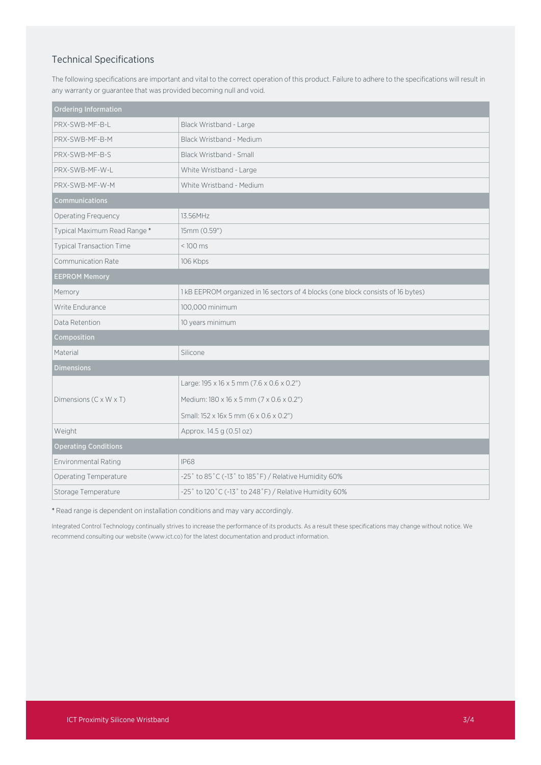### Technical Specifications

The following specifications are important and vital to the correct operation of this product. Failure to adhere to the specifications will result in any warranty or guarantee that was provided becoming null and void.

| <b>Ordering Information</b>     |                                                                                  |
|---------------------------------|----------------------------------------------------------------------------------|
| PRX-SWB-MF-B-L                  | Black Wristband - Large                                                          |
| PRX-SWB-MF-B-M                  | Black Wristband - Medium                                                         |
| PRX-SWB-MF-B-S                  | Black Wristband - Small                                                          |
| PRX-SWB-MF-W-L                  | White Wristband - Large                                                          |
| PRX-SWB-MF-W-M                  | White Wristband - Medium                                                         |
| <b>Communications</b>           |                                                                                  |
| Operating Frequency             | 13.56MHz                                                                         |
| Typical Maximum Read Range*     | 15mm (0.59")                                                                     |
| <b>Typical Transaction Time</b> | $< 100$ ms                                                                       |
| <b>Communication Rate</b>       | 106 Kbps                                                                         |
| <b>EEPROM Memory</b>            |                                                                                  |
| Memory                          | 1 kB EEPROM organized in 16 sectors of 4 blocks (one block consists of 16 bytes) |
| Write Endurance                 | 100,000 minimum                                                                  |
| Data Retention                  | 10 years minimum                                                                 |
| Composition                     |                                                                                  |
| Material                        | Silicone                                                                         |
| <b>Dimensions</b>               |                                                                                  |
|                                 | Large: $195 \times 16 \times 5$ mm $(7.6 \times 0.6 \times 0.2")$                |
| Dimensions (C x W x T)          | Medium: 180 x 16 x 5 mm (7 x 0.6 x 0.2")                                         |
|                                 | Small: 152 x 16x 5 mm (6 x 0.6 x 0.2")                                           |
| Weight                          | Approx. 14.5 g (0.51 oz)                                                         |
| <b>Operating Conditions</b>     |                                                                                  |
| Environmental Rating            | <b>IP68</b>                                                                      |
| Operating Temperature           | -25° to 85°C (-13° to 185°F) / Relative Humidity 60%                             |
| Storage Temperature             | -25° to 120°C (-13° to 248°F) / Relative Humidity 60%                            |

\* Read range is dependent on installation conditions and may vary accordingly.

Integrated Control Technology continually strives to increase the performance of its products. As a result these specifications may change without notice. We recommend consulting our website (www.ict.co) for the latest documentation and product information.